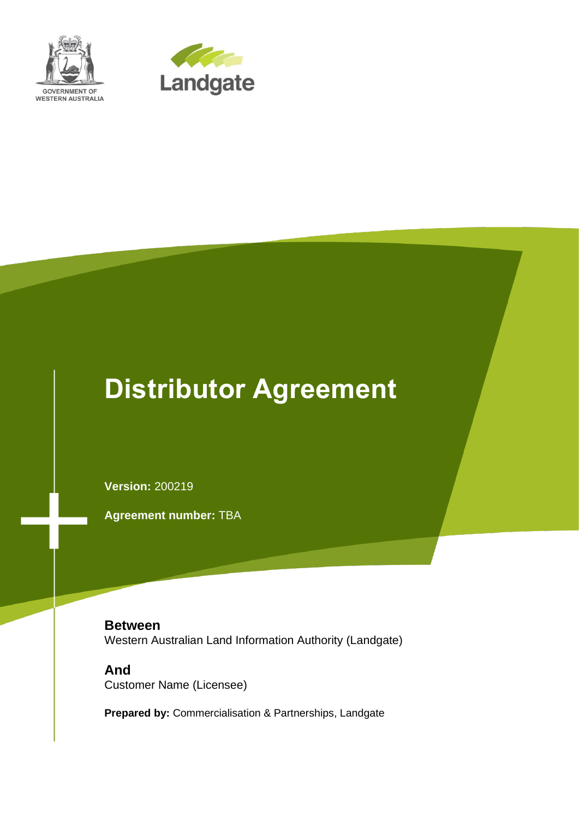



# **Distributor Agreement**

**Version:** 200219

**Agreement number:** TBA

**Between** Western Australian Land Information Authority (Landgate)

**And** Customer Name (Licensee)

**Prepared by:** Commercialisation & Partnerships, Landgate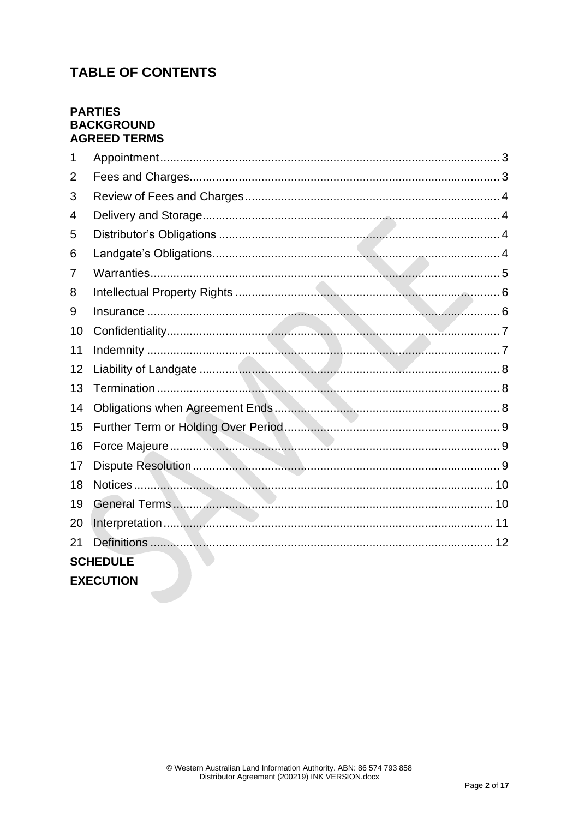# **TABLE OF CONTENTS**

# **PARTIES BACKGROUND AGREED TERMS**

| $\mathbf 1$      |  |  |  |  |
|------------------|--|--|--|--|
| 2                |  |  |  |  |
| 3                |  |  |  |  |
| 4                |  |  |  |  |
| 5                |  |  |  |  |
| 6                |  |  |  |  |
| 7                |  |  |  |  |
| 8                |  |  |  |  |
| 9                |  |  |  |  |
| 10               |  |  |  |  |
| 11               |  |  |  |  |
| 12               |  |  |  |  |
| 13               |  |  |  |  |
| 14               |  |  |  |  |
| 15               |  |  |  |  |
| 16               |  |  |  |  |
| 17               |  |  |  |  |
| 18               |  |  |  |  |
| 19               |  |  |  |  |
| 20               |  |  |  |  |
| 21               |  |  |  |  |
| <b>SCHEDULE</b>  |  |  |  |  |
| <b>EXECUTION</b> |  |  |  |  |
|                  |  |  |  |  |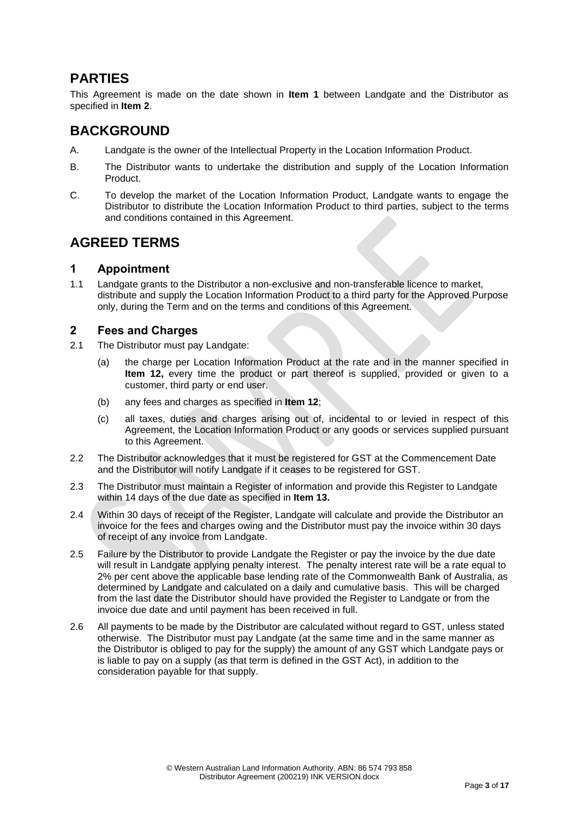# **PARTIES**

This Agreement is made on the date shown in **[Item 1](#page-13-0)** between Landgate and the Distributor as specified in **[Item 2](#page-13-1)**.

# **BACKGROUND**

- A. Landgate is the owner of the Intellectual Property in the Location Information Product.
- B. The Distributor wants to undertake the distribution and supply of the Location Information Product.
- C. To develop the market of the Location Information Product, Landgate wants to engage the Distributor to distribute the Location Information Product to third parties, subject to the terms and conditions contained in this Agreement.

# **AGREED TERMS**

## <span id="page-2-0"></span>**1 Appointment**

1.1 Landgate grants to the Distributor a non-exclusive and non-transferable licence to market, distribute and supply the Location Information Product to a third party for the Approved Purpose only, during the Term and on the terms and conditions of this Agreement.

# <span id="page-2-1"></span>**2 Fees and Charges**

- 2.1 The Distributor must pay Landgate:
	- (a) the charge per Location Information Product at the rate and in the manner specified in **[Item 12,](#page-14-0)** every time the product or part thereof is supplied, provided or given to a customer, third party or end user.
	- (b) any fees and charges as specified in **[Item 12](#page-14-0)**;
	- (c) all taxes, duties and charges arising out of, incidental to or levied in respect of this Agreement, the Location Information Product or any goods or services supplied pursuant to this Agreement.
- 2.2 The Distributor acknowledges that it must be registered for GST at the Commencement Date and the Distributor will notify Landgate if it ceases to be registered for GST.
- 2.3 The Distributor must maintain a Register of information and provide this Register to Landgate within 14 days of the due date as specified in **[Item 13.](#page-15-0)**
- 2.4 Within 30 days of receipt of the Register, Landgate will calculate and provide the Distributor an invoice for the fees and charges owing and the Distributor must pay the invoice within 30 days of receipt of any invoice from Landgate.
- 2.5 Failure by the Distributor to provide Landgate the Register or pay the invoice by the due date will result in Landgate applying penalty interest. The penalty interest rate will be a rate equal to 2% per cent above the applicable base lending rate of the Commonwealth Bank of Australia, as determined by Landgate and calculated on a daily and cumulative basis. This will be charged from the last date the Distributor should have provided the Register to Landgate or from the invoice due date and until payment has been received in full.
- 2.6 All payments to be made by the Distributor are calculated without regard to GST, unless stated otherwise. The Distributor must pay Landgate (at the same time and in the same manner as the Distributor is obliged to pay for the supply) the amount of any GST which Landgate pays or is liable to pay on a supply (as that term is defined in the GST Act), in addition to the consideration payable for that supply.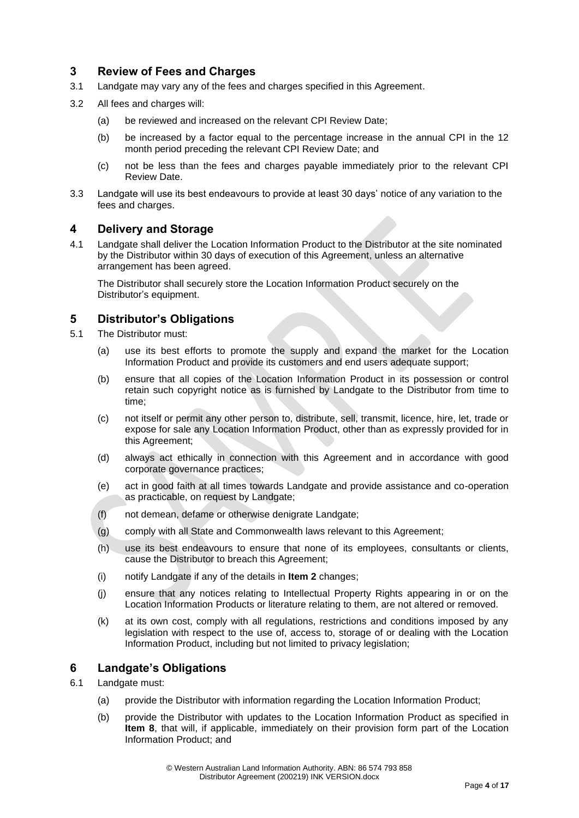# <span id="page-3-0"></span>**3 Review of Fees and Charges**

- 3.1 Landgate may vary any of the fees and charges specified in this Agreement.
- 3.2 All fees and charges will:
	- (a) be reviewed and increased on the relevant CPI Review Date;
	- (b) be increased by a factor equal to the percentage increase in the annual CPI in the 12 month period preceding the relevant CPI Review Date; and
	- (c) not be less than the fees and charges payable immediately prior to the relevant CPI Review Date.
- 3.3 Landgate will use its best endeavours to provide at least 30 days' notice of any variation to the fees and charges.

#### <span id="page-3-1"></span>**4 Delivery and Storage**

4.1 Landgate shall deliver the Location Information Product to the Distributor at the site nominated by the Distributor within 30 days of execution of this Agreement, unless an alternative arrangement has been agreed.

The Distributor shall securely store the Location Information Product securely on the Distributor's equipment.

#### <span id="page-3-2"></span>**5 Distributor's Obligations**

- 5.1 The Distributor must:
	- (a) use its best efforts to promote the supply and expand the market for the Location Information Product and provide its customers and end users adequate support;
	- (b) ensure that all copies of the Location Information Product in its possession or control retain such copyright notice as is furnished by Landgate to the Distributor from time to time;
	- (c) not itself or permit any other person to, distribute, sell, transmit, licence, hire, let, trade or expose for sale any Location Information Product, other than as expressly provided for in this Agreement;
	- (d) always act ethically in connection with this Agreement and in accordance with good corporate governance practices;
	- (e) act in good faith at all times towards Landgate and provide assistance and co-operation as practicable, on request by Landgate;
	- (f) not demean, defame or otherwise denigrate Landgate;
	- (g) comply with all State and Commonwealth laws relevant to this Agreement;
	- (h) use its best endeavours to ensure that none of its employees, consultants or clients, cause the Distributor to breach this Agreement;
	- (i) notify Landgate if any of the details in **[Item 2](#page-13-1)** changes;
	- (j) ensure that any notices relating to Intellectual Property Rights appearing in or on the Location Information Products or literature relating to them, are not altered or removed.
	- (k) at its own cost, comply with all regulations, restrictions and conditions imposed by any legislation with respect to the use of, access to, storage of or dealing with the Location Information Product, including but not limited to privacy legislation;

#### <span id="page-3-3"></span>**6 Landgate's Obligations**

- 6.1 Landgate must:
	- (a) provide the Distributor with information regarding the Location Information Product;
	- (b) provide the Distributor with updates to the Location Information Product as specified in **[Item 8](#page-13-2)**, that will, if applicable, immediately on their provision form part of the Location Information Product; and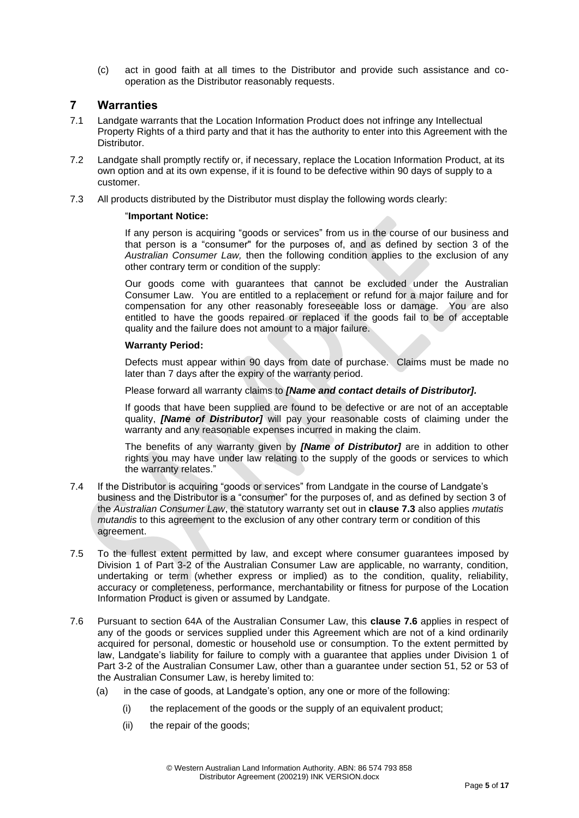(c) act in good faith at all times to the Distributor and provide such assistance and cooperation as the Distributor reasonably requests.

#### <span id="page-4-0"></span>**7 Warranties**

- 7.1 Landgate warrants that the Location Information Product does not infringe any Intellectual Property Rights of a third party and that it has the authority to enter into this Agreement with the Distributor.
- 7.2 Landgate shall promptly rectify or, if necessary, replace the Location Information Product, at its own option and at its own expense, if it is found to be defective within 90 days of supply to a customer.
- <span id="page-4-1"></span>7.3 All products distributed by the Distributor must display the following words clearly:

#### "**Important Notice:**

If any person is acquiring "goods or services" from us in the course of our business and that person is a "consumer" for the purposes of, and as defined by section 3 of the *Australian Consumer Law,* then the following condition applies to the exclusion of any other contrary term or condition of the supply:

Our goods come with guarantees that cannot be excluded under the Australian Consumer Law. You are entitled to a replacement or refund for a major failure and for compensation for any other reasonably foreseeable loss or damage. You are also entitled to have the goods repaired or replaced if the goods fail to be of acceptable quality and the failure does not amount to a major failure.

#### **Warranty Period:**

Defects must appear within 90 days from date of purchase. Claims must be made no later than 7 days after the expiry of the warranty period.

Please forward all warranty claims to *[Name and contact details of Distributor].*

If goods that have been supplied are found to be defective or are not of an acceptable quality, *[Name of Distributor]* will pay your reasonable costs of claiming under the warranty and any reasonable expenses incurred in making the claim.

The benefits of any warranty given by *[Name of Distributor]* are in addition to other rights you may have under law relating to the supply of the goods or services to which the warranty relates."

- 7.4 If the Distributor is acquiring "goods or services" from Landgate in the course of Landgate's business and the Distributor is a "consumer" for the purposes of, and as defined by section 3 of the *Australian Consumer Law*, the statutory warranty set out in **clause [7.3](#page-4-1)** also applies *mutatis mutandis* to this agreement to the exclusion of any other contrary term or condition of this agreement.
- 7.5 To the fullest extent permitted by law, and except where consumer guarantees imposed by Division 1 of Part 3-2 of the Australian Consumer Law are applicable, no warranty, condition, undertaking or term (whether express or implied) as to the condition, quality, reliability, accuracy or completeness, performance, merchantability or fitness for purpose of the Location Information Product is given or assumed by Landgate.
- <span id="page-4-2"></span>7.6 Pursuant to section 64A of the Australian Consumer Law, this **clause [7.6](#page-4-2)** applies in respect of any of the goods or services supplied under this Agreement which are not of a kind ordinarily acquired for personal, domestic or household use or consumption. To the extent permitted by law, Landgate's liability for failure to comply with a guarantee that applies under Division 1 of Part 3-2 of the Australian Consumer Law, other than a guarantee under section 51, 52 or 53 of the Australian Consumer Law, is hereby limited to:
	- (a) in the case of goods, at Landgate's option, any one or more of the following:
		- (i) the replacement of the goods or the supply of an equivalent product;
		- (ii) the repair of the goods;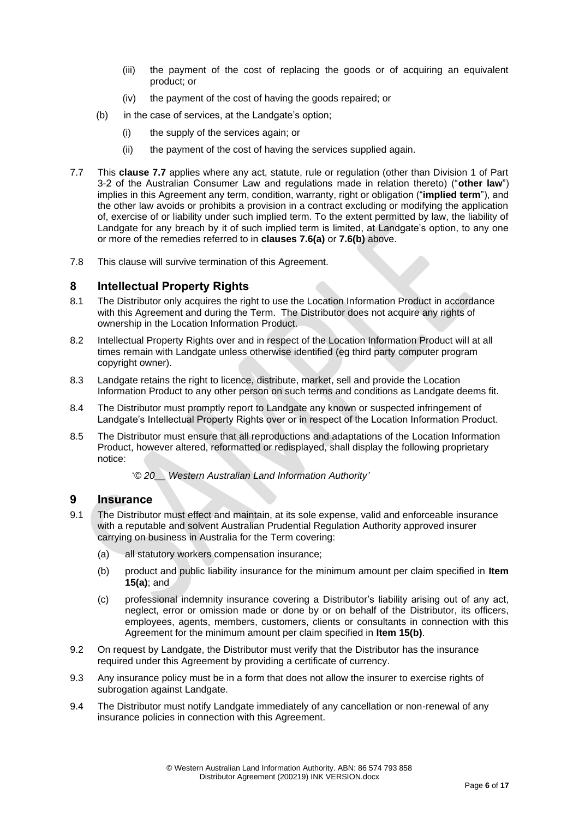- (iii) the payment of the cost of replacing the goods or of acquiring an equivalent product; or
- (iv) the payment of the cost of having the goods repaired; or
- (b) in the case of services, at the Landgate's option;
	- (i) the supply of the services again; or
	- (ii) the payment of the cost of having the services supplied again.
- <span id="page-5-2"></span>7.7 This **clause [7.7](#page-5-2)** applies where any act, statute, rule or regulation (other than Division 1 of Part 3-2 of the Australian Consumer Law and regulations made in relation thereto) ("**other law**") implies in this Agreement any term, condition, warranty, right or obligation ("**implied term**"), and the other law avoids or prohibits a provision in a contract excluding or modifying the application of, exercise of or liability under such implied term. To the extent permitted by law, the liability of Landgate for any breach by it of such implied term is limited, at Landgate's option, to any one or more of the remedies referred to in **clauses [7.6\(](#page-4-2)a)** or **[7.6\(](#page-4-2)b)** above.
- 7.8 This clause will survive termination of this Agreement.

#### <span id="page-5-0"></span>**8 Intellectual Property Rights**

- 8.1 The Distributor only acquires the right to use the Location Information Product in accordance with this Agreement and during the Term. The Distributor does not acquire any rights of ownership in the Location Information Product.
- 8.2 Intellectual Property Rights over and in respect of the Location Information Product will at all times remain with Landgate unless otherwise identified (eg third party computer program copyright owner).
- 8.3 Landgate retains the right to licence, distribute, market, sell and provide the Location Information Product to any other person on such terms and conditions as Landgate deems fit.
- 8.4 The Distributor must promptly report to Landgate any known or suspected infringement of Landgate's Intellectual Property Rights over or in respect of the Location Information Product.
- 8.5 The Distributor must ensure that all reproductions and adaptations of the Location Information Product, however altered, reformatted or redisplayed, shall display the following proprietary notice:
	- '*© 20\_\_ Western Australian Land Information Authority'*

#### <span id="page-5-1"></span>**9 Insurance**

- 9.1 The Distributor must effect and maintain, at its sole expense, valid and enforceable insurance with a reputable and solvent Australian Prudential Regulation Authority approved insurer carrying on business in Australia for the Term covering:
	- (a) all statutory workers compensation insurance;
	- (b) product and public liability insurance for the minimum amount per claim specified in **[Item](#page-15-1)  [15\(](#page-15-1)a)**; and
	- (c) professional indemnity insurance covering a Distributor's liability arising out of any act, neglect, error or omission made or done by or on behalf of the Distributor, its officers, employees, agents, members, customers, clients or consultants in connection with this Agreement for the minimum amount per claim specified in **[Item 15\(](#page-15-1)b)**.
- 9.2 On request by Landgate, the Distributor must verify that the Distributor has the insurance required under this Agreement by providing a certificate of currency.
- 9.3 Any insurance policy must be in a form that does not allow the insurer to exercise rights of subrogation against Landgate.
- 9.4 The Distributor must notify Landgate immediately of any cancellation or non-renewal of any insurance policies in connection with this Agreement.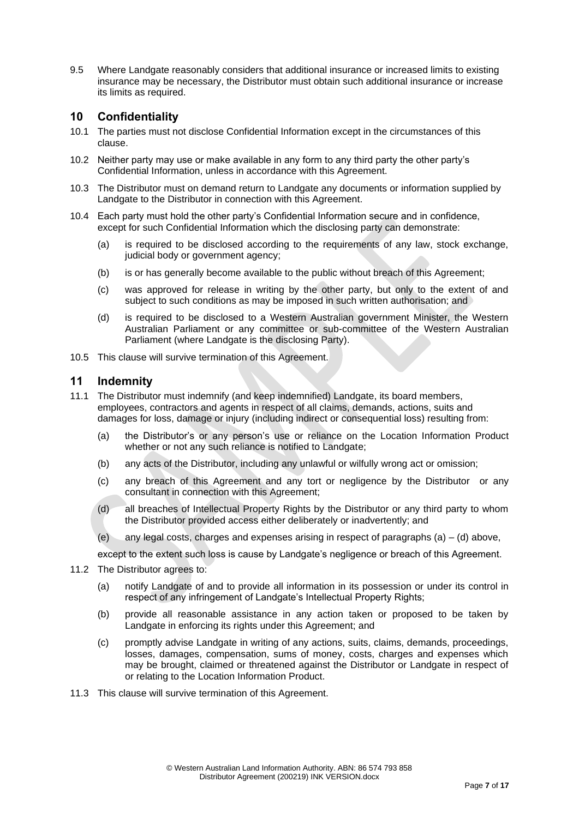9.5 Where Landgate reasonably considers that additional insurance or increased limits to existing insurance may be necessary, the Distributor must obtain such additional insurance or increase its limits as required.

## <span id="page-6-0"></span>**10 Confidentiality**

- 10.1 The parties must not disclose Confidential Information except in the circumstances of this clause.
- 10.2 Neither party may use or make available in any form to any third party the other party's Confidential Information, unless in accordance with this Agreement.
- 10.3 The Distributor must on demand return to Landgate any documents or information supplied by Landgate to the Distributor in connection with this Agreement.
- 10.4 Each party must hold the other party's Confidential Information secure and in confidence, except for such Confidential Information which the disclosing party can demonstrate:
	- (a) is required to be disclosed according to the requirements of any law, stock exchange, judicial body or government agency;
	- (b) is or has generally become available to the public without breach of this Agreement;
	- (c) was approved for release in writing by the other party, but only to the extent of and subject to such conditions as may be imposed in such written authorisation; and
	- (d) is required to be disclosed to a Western Australian government Minister, the Western Australian Parliament or any committee or sub-committee of the Western Australian Parliament (where Landgate is the disclosing Party).
- 10.5 This clause will survive termination of this Agreement.

#### <span id="page-6-1"></span>**11 Indemnity**

- 11.1 The Distributor must indemnify (and keep indemnified) Landgate, its board members, employees, contractors and agents in respect of all claims, demands, actions, suits and damages for loss, damage or injury (including indirect or consequential loss) resulting from:
	- (a) the Distributor's or any person's use or reliance on the Location Information Product whether or not any such reliance is notified to Landgate;
	- (b) any acts of the Distributor, including any unlawful or wilfully wrong act or omission;
	- (c) any breach of this Agreement and any tort or negligence by the Distributor or any consultant in connection with this Agreement;
	- (d) all breaches of Intellectual Property Rights by the Distributor or any third party to whom the Distributor provided access either deliberately or inadvertently; and
	- (e) any legal costs, charges and expenses arising in respect of paragraphs  $(a) (d)$  above,

except to the extent such loss is cause by Landgate's negligence or breach of this Agreement.

- 11.2 The Distributor agrees to:
	- (a) notify Landgate of and to provide all information in its possession or under its control in respect of any infringement of Landgate's Intellectual Property Rights;
	- (b) provide all reasonable assistance in any action taken or proposed to be taken by Landgate in enforcing its rights under this Agreement; and
	- (c) promptly advise Landgate in writing of any actions, suits, claims, demands, proceedings, losses, damages, compensation, sums of money, costs, charges and expenses which may be brought, claimed or threatened against the Distributor or Landgate in respect of or relating to the Location Information Product.
- 11.3 This clause will survive termination of this Agreement.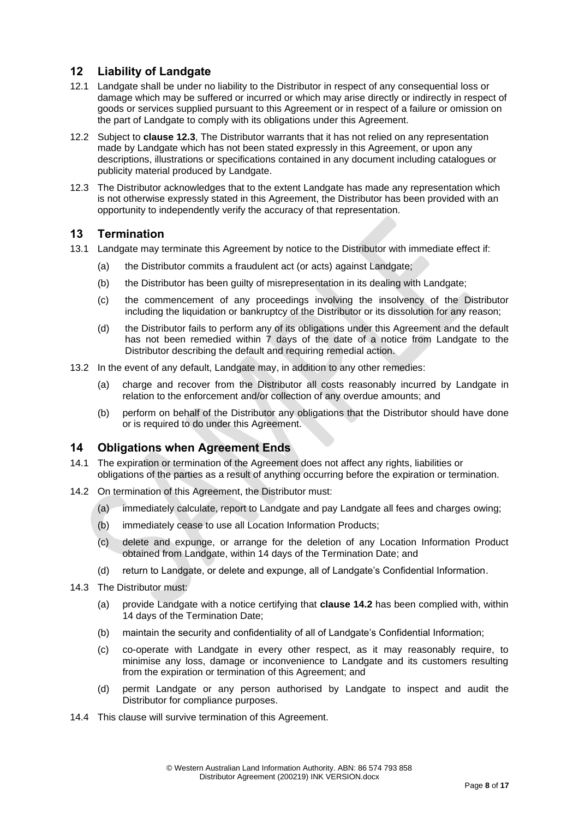# <span id="page-7-0"></span>**12 Liability of Landgate**

- 12.1 Landgate shall be under no liability to the Distributor in respect of any consequential loss or damage which may be suffered or incurred or which may arise directly or indirectly in respect of goods or services supplied pursuant to this Agreement or in respect of a failure or omission on the part of Landgate to comply with its obligations under this Agreement.
- 12.2 Subject to **clause [12.3](#page-7-3)**, The Distributor warrants that it has not relied on any representation made by Landgate which has not been stated expressly in this Agreement, or upon any descriptions, illustrations or specifications contained in any document including catalogues or publicity material produced by Landgate.
- <span id="page-7-3"></span>12.3 The Distributor acknowledges that to the extent Landgate has made any representation which is not otherwise expressly stated in this Agreement, the Distributor has been provided with an opportunity to independently verify the accuracy of that representation.

#### <span id="page-7-1"></span>**13 Termination**

- 13.1 Landgate may terminate this Agreement by notice to the Distributor with immediate effect if:
	- (a) the Distributor commits a fraudulent act (or acts) against Landgate;
	- (b) the Distributor has been guilty of misrepresentation in its dealing with Landgate;
	- (c) the commencement of any proceedings involving the insolvency of the Distributor including the liquidation or bankruptcy of the Distributor or its dissolution for any reason;
	- (d) the Distributor fails to perform any of its obligations under this Agreement and the default has not been remedied within 7 days of the date of a notice from Landgate to the Distributor describing the default and requiring remedial action.
- 13.2 In the event of any default, Landgate may, in addition to any other remedies:
	- (a) charge and recover from the Distributor all costs reasonably incurred by Landgate in relation to the enforcement and/or collection of any overdue amounts; and
	- (b) perform on behalf of the Distributor any obligations that the Distributor should have done or is required to do under this Agreement.

#### <span id="page-7-2"></span>**14 Obligations when Agreement Ends**

- 14.1 The expiration or termination of the Agreement does not affect any rights, liabilities or obligations of the parties as a result of anything occurring before the expiration or termination.
- <span id="page-7-4"></span>14.2 On termination of this Agreement, the Distributor must:
	- (a) immediately calculate, report to Landgate and pay Landgate all fees and charges owing;
	- (b) immediately cease to use all Location Information Products;
	- (c) delete and expunge, or arrange for the deletion of any Location Information Product obtained from Landgate, within 14 days of the Termination Date; and
	- (d) return to Landgate, or delete and expunge, all of Landgate's Confidential Information.
- 14.3 The Distributor must:
	- (a) provide Landgate with a notice certifying that **clause [14.2](#page-7-4)** has been complied with, within 14 days of the Termination Date;
	- (b) maintain the security and confidentiality of all of Landgate's Confidential Information;
	- (c) co-operate with Landgate in every other respect, as it may reasonably require, to minimise any loss, damage or inconvenience to Landgate and its customers resulting from the expiration or termination of this Agreement; and
	- (d) permit Landgate or any person authorised by Landgate to inspect and audit the Distributor for compliance purposes.
- 14.4 This clause will survive termination of this Agreement.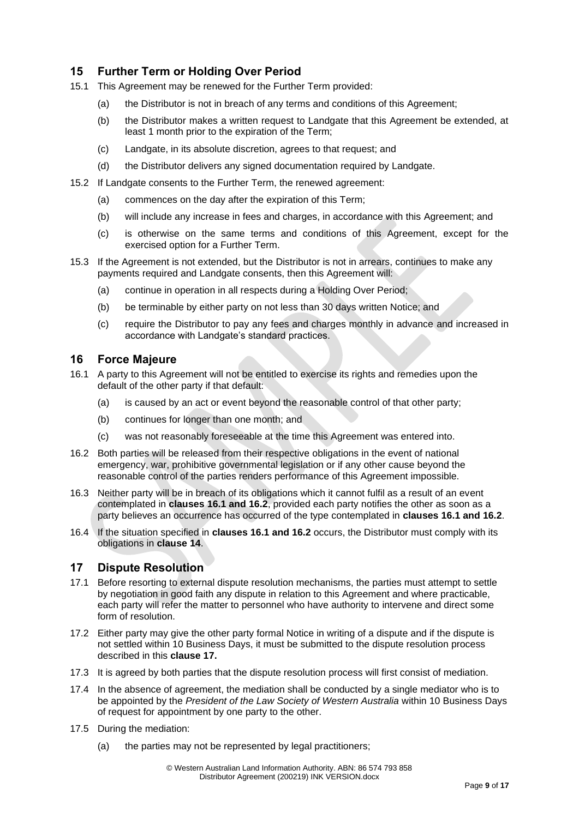# <span id="page-8-0"></span>**15 Further Term or Holding Over Period**

- 15.1 This Agreement may be renewed for the Further Term provided:
	- (a) the Distributor is not in breach of any terms and conditions of this Agreement;
	- (b) the Distributor makes a written request to Landgate that this Agreement be extended, at least 1 month prior to the expiration of the Term;
	- (c) Landgate, in its absolute discretion, agrees to that request; and
	- (d) the Distributor delivers any signed documentation required by Landgate.
- 15.2 If Landgate consents to the Further Term, the renewed agreement:
	- (a) commences on the day after the expiration of this Term;
	- (b) will include any increase in fees and charges, in accordance with this Agreement; and
	- (c) is otherwise on the same terms and conditions of this Agreement, except for the exercised option for a Further Term.
- 15.3 If the Agreement is not extended, but the Distributor is not in arrears, continues to make any payments required and Landgate consents, then this Agreement will:
	- (a) continue in operation in all respects during a Holding Over Period;
	- (b) be terminable by either party on not less than 30 days written Notice; and
	- (c) require the Distributor to pay any fees and charges monthly in advance and increased in accordance with Landgate's standard practices.

#### <span id="page-8-1"></span>**16 Force Majeure**

- <span id="page-8-3"></span>16.1 A party to this Agreement will not be entitled to exercise its rights and remedies upon the default of the other party if that default:
	- (a) is caused by an act or event beyond the reasonable control of that other party;
	- (b) continues for longer than one month; and
	- (c) was not reasonably foreseeable at the time this Agreement was entered into.
- <span id="page-8-4"></span>16.2 Both parties will be released from their respective obligations in the event of national emergency, war, prohibitive governmental legislation or if any other cause beyond the reasonable control of the parties renders performance of this Agreement impossible.
- 16.3 Neither party will be in breach of its obligations which it cannot fulfil as a result of an event contemplated in **clauses [16.1](#page-8-3) and [16.2](#page-8-4)**, provided each party notifies the other as soon as a party believes an occurrence has occurred of the type contemplated in **clauses [16.1](#page-8-3) and [16.2](#page-8-4)**.
- 16.4 If the situation specified in **clauses [16.1](#page-8-3) and [16.2](#page-8-4)** occurs, the Distributor must comply with its obligations in **clause [14](#page-7-2)**.

# <span id="page-8-2"></span>**17 Dispute Resolution**

- 17.1 Before resorting to external dispute resolution mechanisms, the parties must attempt to settle by negotiation in good faith any dispute in relation to this Agreement and where practicable, each party will refer the matter to personnel who have authority to intervene and direct some form of resolution.
- 17.2 Either party may give the other party formal Notice in writing of a dispute and if the dispute is not settled within 10 Business Days, it must be submitted to the dispute resolution process described in this **clause [17.](#page-8-2)**
- 17.3 It is agreed by both parties that the dispute resolution process will first consist of mediation.
- 17.4 In the absence of agreement, the mediation shall be conducted by a single mediator who is to be appointed by the *President of the Law Society of Western Australia* within 10 Business Days of request for appointment by one party to the other.
- 17.5 During the mediation:
	- (a) the parties may not be represented by legal practitioners;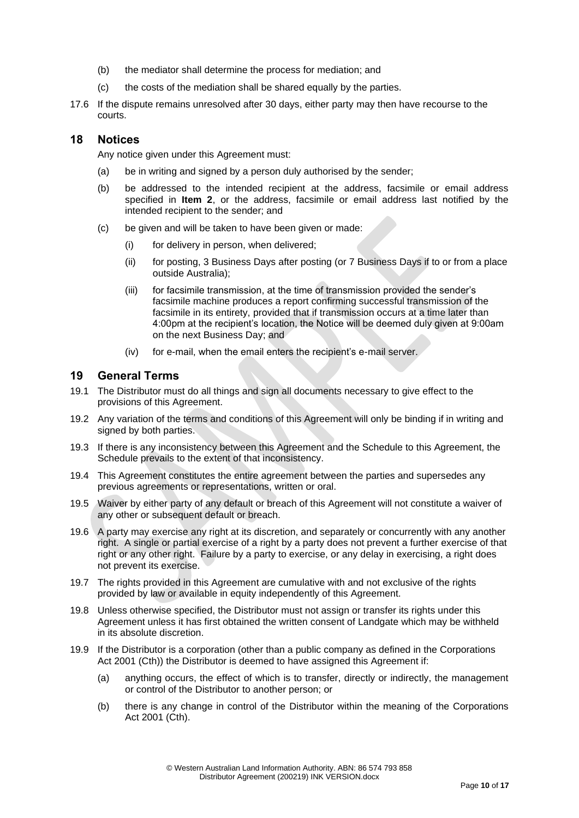- (b) the mediator shall determine the process for mediation; and
- (c) the costs of the mediation shall be shared equally by the parties.
- 17.6 If the dispute remains unresolved after 30 days, either party may then have recourse to the courts.

#### **18 Notices**

<span id="page-9-0"></span>Any notice given under this Agreement must:

- (a) be in writing and signed by a person duly authorised by the sender;
- (b) be addressed to the intended recipient at the address, facsimile or email address specified in **[Item 2](#page-13-1)**, or the address, facsimile or email address last notified by the intended recipient to the sender; and
- (c) be given and will be taken to have been given or made:
	- (i) for delivery in person, when delivered;
	- (ii) for posting, 3 Business Days after posting (or 7 Business Days if to or from a place outside Australia);
	- (iii) for facsimile transmission, at the time of transmission provided the sender's facsimile machine produces a report confirming successful transmission of the facsimile in its entirety, provided that if transmission occurs at a time later than 4:00pm at the recipient's location, the Notice will be deemed duly given at 9:00am on the next Business Day; and
	- (iv) for e-mail, when the email enters the recipient's e-mail server.

#### <span id="page-9-1"></span>**19 General Terms**

- 19.1 The Distributor must do all things and sign all documents necessary to give effect to the provisions of this Agreement.
- 19.2 Any variation of the terms and conditions of this Agreement will only be binding if in writing and signed by both parties.
- 19.3 If there is any inconsistency between this Agreement and the Schedule to this Agreement, the Schedule prevails to the extent of that inconsistency.
- 19.4 This Agreement constitutes the entire agreement between the parties and supersedes any previous agreements or representations, written or oral.
- 19.5 Waiver by either party of any default or breach of this Agreement will not constitute a waiver of any other or subsequent default or breach.
- 19.6 A party may exercise any right at its discretion, and separately or concurrently with any another right. A single or partial exercise of a right by a party does not prevent a further exercise of that right or any other right. Failure by a party to exercise, or any delay in exercising, a right does not prevent its exercise.
- 19.7 The rights provided in this Agreement are cumulative with and not exclusive of the rights provided by law or available in equity independently of this Agreement.
- 19.8 Unless otherwise specified, the Distributor must not assign or transfer its rights under this Agreement unless it has first obtained the written consent of Landgate which may be withheld in its absolute discretion.
- 19.9 If the Distributor is a corporation (other than a public company as defined in the Corporations Act 2001 (Cth)) the Distributor is deemed to have assigned this Agreement if:
	- (a) anything occurs, the effect of which is to transfer, directly or indirectly, the management or control of the Distributor to another person; or
	- (b) there is any change in control of the Distributor within the meaning of the Corporations Act 2001 (Cth).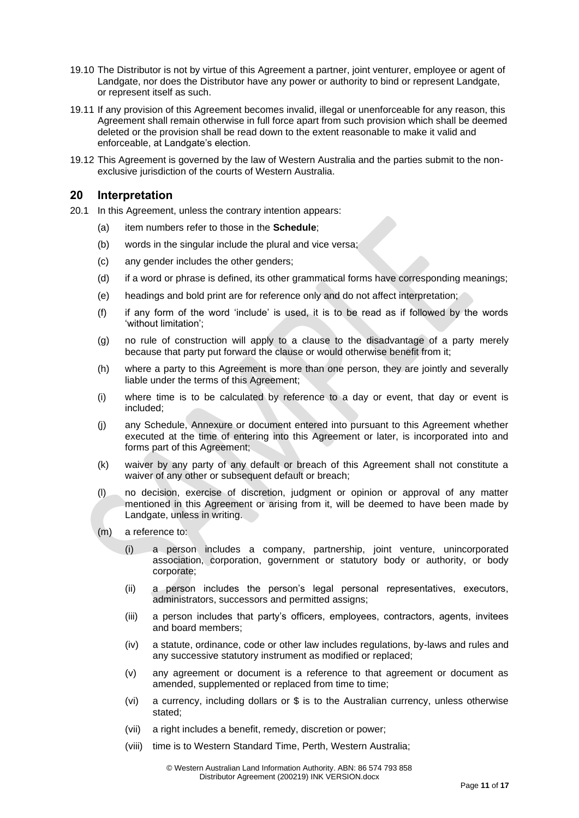- 19.10 The Distributor is not by virtue of this Agreement a partner, joint venturer, employee or agent of Landgate, nor does the Distributor have any power or authority to bind or represent Landgate, or represent itself as such.
- 19.11 If any provision of this Agreement becomes invalid, illegal or unenforceable for any reason, this Agreement shall remain otherwise in full force apart from such provision which shall be deemed deleted or the provision shall be read down to the extent reasonable to make it valid and enforceable, at Landgate's election.
- 19.12 This Agreement is governed by the law of Western Australia and the parties submit to the nonexclusive jurisdiction of the courts of Western Australia.

#### <span id="page-10-0"></span>**20 Interpretation**

- 20.1 In this Agreement, unless the contrary intention appears:
	- (a) item numbers refer to those in the **Schedule**;
	- (b) words in the singular include the plural and vice versa;
	- (c) any gender includes the other genders;
	- (d) if a word or phrase is defined, its other grammatical forms have corresponding meanings;
	- (e) headings and bold print are for reference only and do not affect interpretation;
	- (f) if any form of the word 'include' is used, it is to be read as if followed by the words 'without limitation';
	- (g) no rule of construction will apply to a clause to the disadvantage of a party merely because that party put forward the clause or would otherwise benefit from it;
	- (h) where a party to this Agreement is more than one person, they are jointly and severally liable under the terms of this Agreement;
	- (i) where time is to be calculated by reference to a day or event, that day or event is included;
	- (j) any Schedule, Annexure or document entered into pursuant to this Agreement whether executed at the time of entering into this Agreement or later, is incorporated into and forms part of this Agreement;
	- (k) waiver by any party of any default or breach of this Agreement shall not constitute a waiver of any other or subsequent default or breach;
	- (l) no decision, exercise of discretion, judgment or opinion or approval of any matter mentioned in this Agreement or arising from it, will be deemed to have been made by Landgate, unless in writing.
	- (m) a reference to:
		- (i) a person includes a company, partnership, joint venture, unincorporated association, corporation, government or statutory body or authority, or body corporate;
		- (ii) a person includes the person's legal personal representatives, executors, administrators, successors and permitted assigns;
		- (iii) a person includes that party's officers, employees, contractors, agents, invitees and board members;
		- (iv) a statute, ordinance, code or other law includes regulations, by-laws and rules and any successive statutory instrument as modified or replaced;
		- (v) any agreement or document is a reference to that agreement or document as amended, supplemented or replaced from time to time;
		- (vi) a currency, including dollars or \$ is to the Australian currency, unless otherwise stated;
		- (vii) a right includes a benefit, remedy, discretion or power;
		- (viii) time is to Western Standard Time, Perth, Western Australia;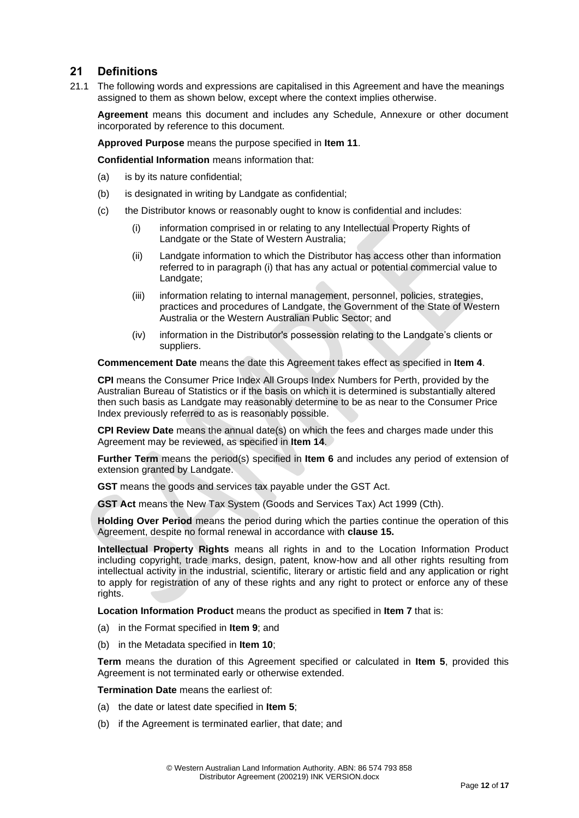## <span id="page-11-0"></span>**21 Definitions**

21.1 The following words and expressions are capitalised in this Agreement and have the meanings assigned to them as shown below, except where the context implies otherwise.

**Agreement** means this document and includes any Schedule, Annexure or other document incorporated by reference to this document.

**Approved Purpose** means the purpose specified in **[Item 11](#page-14-1)**.

**Confidential Information** means information that:

- (a) is by its nature confidential;
- (b) is designated in writing by Landgate as confidential;
- (c) the Distributor knows or reasonably ought to know is confidential and includes:
	- (i) information comprised in or relating to any Intellectual Property Rights of Landgate or the State of Western Australia;
	- (ii) Landgate information to which the Distributor has access other than information referred to in paragraph (i) that has any actual or potential commercial value to Landgate;
	- (iii) information relating to internal management, personnel, policies, strategies, practices and procedures of Landgate, the Government of the State of Western Australia or the Western Australian Public Sector; and
	- (iv) information in the Distributor's possession relating to the Landgate's clients or suppliers.

**Commencement Date** means the date this Agreement takes effect as specified in **[Item 4](#page-13-3)**.

**CPI** means the Consumer Price Index All Groups Index Numbers for Perth, provided by the Australian Bureau of Statistics or if the basis on which it is determined is substantially altered then such basis as Landgate may reasonably determine to be as near to the Consumer Price Index previously referred to as is reasonably possible.

**CPI Review Date** means the annual date(s) on which the fees and charges made under this Agreement may be reviewed, as specified in **[Item 14](#page-15-2)**.

**Further Term** means the period(s) specified in **[Item 6](#page-13-4)** and includes any period of extension of extension granted by Landgate.

**GST** means the goods and services tax payable under the GST Act.

**GST Act** means the New Tax System (Goods and Services Tax) Act 1999 (Cth).

**Holding Over Period** means the period during which the parties continue the operation of this Agreement, despite no formal renewal in accordance with **clause [15.](#page-8-0)**

**Intellectual Property Rights** means all rights in and to the Location Information Product including copyright, trade marks, design, patent, know-how and all other rights resulting from intellectual activity in the industrial, scientific, literary or artistic field and any application or right to apply for registration of any of these rights and any right to protect or enforce any of these rights.

**Location Information Product** means the product as specified in **[Item 7](#page-13-5)** that is:

- (a) in the Format specified in **[Item 9](#page-13-6)**; and
- (b) in the Metadata specified in **[Item 10](#page-14-2)**;

**Term** means the duration of this Agreement specified or calculated in **[Item 5](#page-13-7)**, provided this Agreement is not terminated early or otherwise extended.

**Termination Date** means the earliest of:

- (a) the date or latest date specified in **[Item 5](#page-13-7)**;
- (b) if the Agreement is terminated earlier, that date; and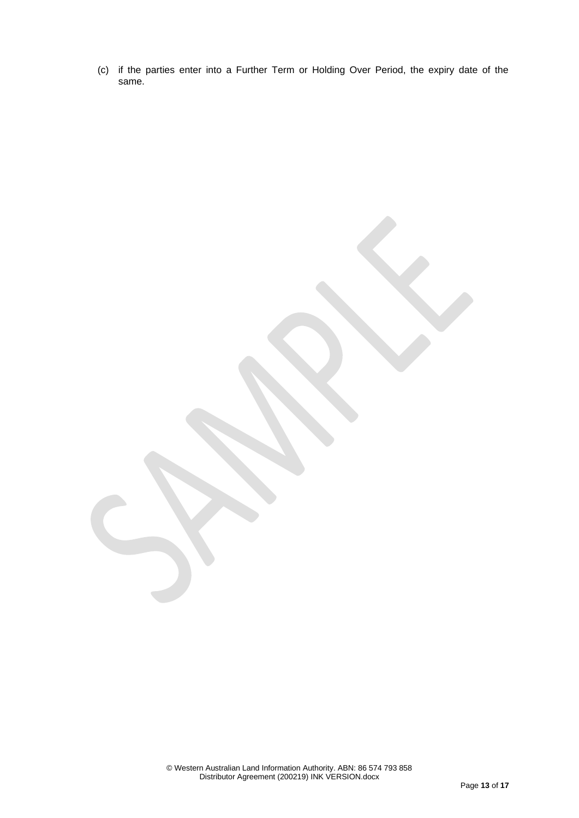(c) if the parties enter into a Further Term or Holding Over Period, the expiry date of the same.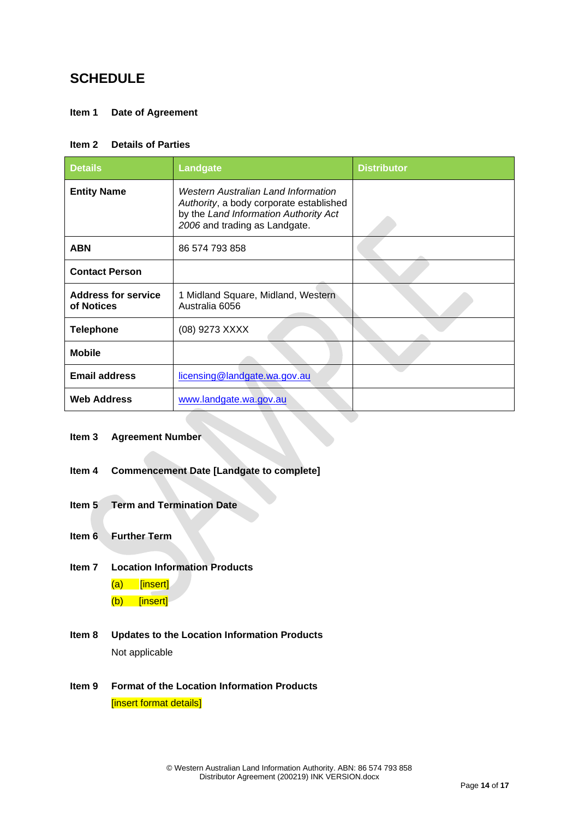# **SCHEDULE**

### <span id="page-13-0"></span>**Item 1 Date of Agreement**

#### <span id="page-13-1"></span>**Item 2 Details of Parties**

| <b>Details</b>                           | <b>Landgate</b>                                                                                                                                          | <b>Distributor</b> |
|------------------------------------------|----------------------------------------------------------------------------------------------------------------------------------------------------------|--------------------|
| <b>Entity Name</b>                       | Western Australian Land Information<br>Authority, a body corporate established<br>by the Land Information Authority Act<br>2006 and trading as Landgate. |                    |
| <b>ABN</b>                               | 86 574 793 858                                                                                                                                           |                    |
| <b>Contact Person</b>                    |                                                                                                                                                          |                    |
| <b>Address for service</b><br>of Notices | 1 Midland Square, Midland, Western<br>Australia 6056                                                                                                     |                    |
| <b>Telephone</b>                         | (08) 9273 XXXX                                                                                                                                           |                    |
| <b>Mobile</b>                            |                                                                                                                                                          |                    |
| <b>Email address</b>                     | licensing@landgate.wa.gov.au                                                                                                                             |                    |
| <b>Web Address</b>                       | www.landgate.wa.gov.au                                                                                                                                   |                    |

#### **Item 3 Agreement Number**

- <span id="page-13-3"></span>**Item 4 Commencement Date [Landgate to complete]**
- <span id="page-13-7"></span>**Item 5 Term and Termination Date**
- <span id="page-13-4"></span>**Item 6 Further Term**
- <span id="page-13-5"></span>**Item 7 Location Information Products**
	- (a) [insert]
	- (b) [insert]
- <span id="page-13-2"></span>**Item 8 Updates to the Location Information Products** Not applicable
- <span id="page-13-6"></span>**Item 9 Format of the Location Information Products** [insert format details]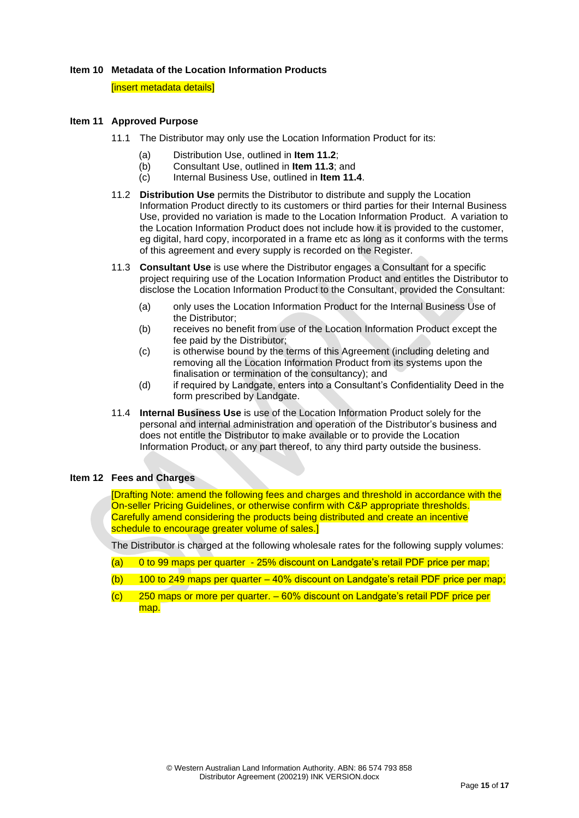#### <span id="page-14-2"></span>**Item 10 Metadata of the Location Information Products**

**linsert metadata details]** 

#### <span id="page-14-1"></span>**Item 11 Approved Purpose**

- 11.1 The Distributor may only use the Location Information Product for its:
	- (a) Distribution Use, outlined in **Item 11.2**;
	- (b) Consultant Use, outlined in **Item 11.3**; and
	- (c) Internal Business Use, outlined in **Item 11.4**.
- 11.2 **Distribution Use** permits the Distributor to distribute and supply the Location Information Product directly to its customers or third parties for their Internal Business Use, provided no variation is made to the Location Information Product. A variation to the Location Information Product does not include how it is provided to the customer, eg digital, hard copy, incorporated in a frame etc as long as it conforms with the terms of this agreement and every supply is recorded on the Register.
- 11.3 **Consultant Use** is use where the Distributor engages a Consultant for a specific project requiring use of the Location Information Product and entitles the Distributor to disclose the Location Information Product to the Consultant, provided the Consultant:
	- (a) only uses the Location Information Product for the Internal Business Use of the Distributor;
	- (b) receives no benefit from use of the Location Information Product except the fee paid by the Distributor;
	- (c) is otherwise bound by the terms of this Agreement (including deleting and removing all the Location Information Product from its systems upon the finalisation or termination of the consultancy); and
	- (d) if required by Landgate, enters into a Consultant's Confidentiality Deed in the form prescribed by Landgate.
- 11.4 **Internal Business Use** is use of the Location Information Product solely for the personal and internal administration and operation of the Distributor's business and does not entitle the Distributor to make available or to provide the Location Information Product, or any part thereof, to any third party outside the business.

#### <span id="page-14-0"></span>**Item 12 Fees and Charges**

[Drafting Note: amend the following fees and charges and threshold in accordance with the On-seller Pricing Guidelines, or otherwise confirm with C&P appropriate thresholds. Carefully amend considering the products being distributed and create an incentive schedule to encourage greater volume of sales.]

The Distributor is charged at the following wholesale rates for the following supply volumes:

- (a) 0 to 99 maps per quarter 25% discount on Landgate's retail PDF price per map;
- (b) 100 to 249 maps per quarter  $-40\%$  discount on Landgate's retail PDF price per map;
- (c) 250 maps or more per quarter. 60% discount on Landgate's retail PDF price per map.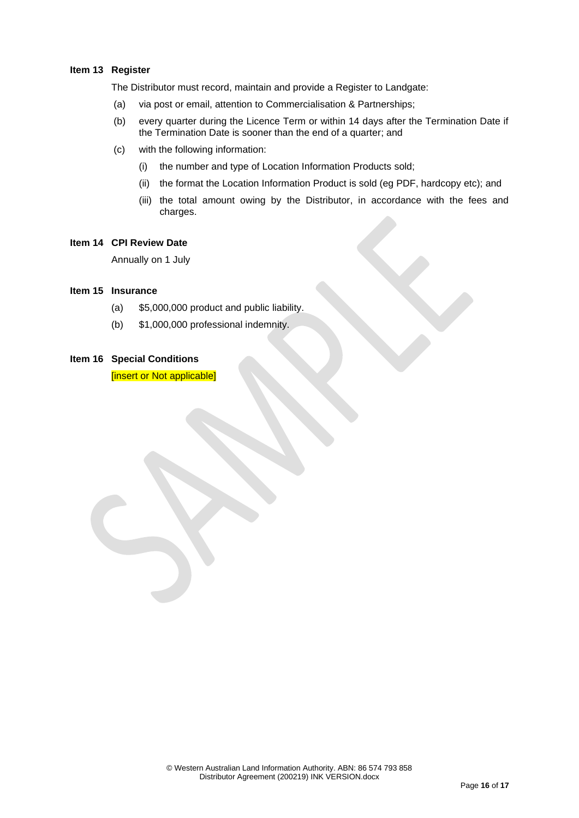#### **Item 13 Register**

<span id="page-15-0"></span>The Distributor must record, maintain and provide a Register to Landgate:

- (a) via post or email, attention to Commercialisation & Partnerships;
- (b) every quarter during the Licence Term or within 14 days after the Termination Date if the Termination Date is sooner than the end of a quarter; and
- (c) with the following information:
	- (i) the number and type of Location Information Products sold;
	- (ii) the format the Location Information Product is sold (eg PDF, hardcopy etc); and
	- (iii) the total amount owing by the Distributor, in accordance with the fees and charges.

#### <span id="page-15-2"></span>**Item 14 CPI Review Date**

Annually on 1 July

#### <span id="page-15-1"></span>**Item 15 Insurance**

- (a) \$5,000,000 product and public liability.
- (b) \$1,000,000 professional indemnity.

#### **Item 16 Special Conditions**

[insert or Not applicable]